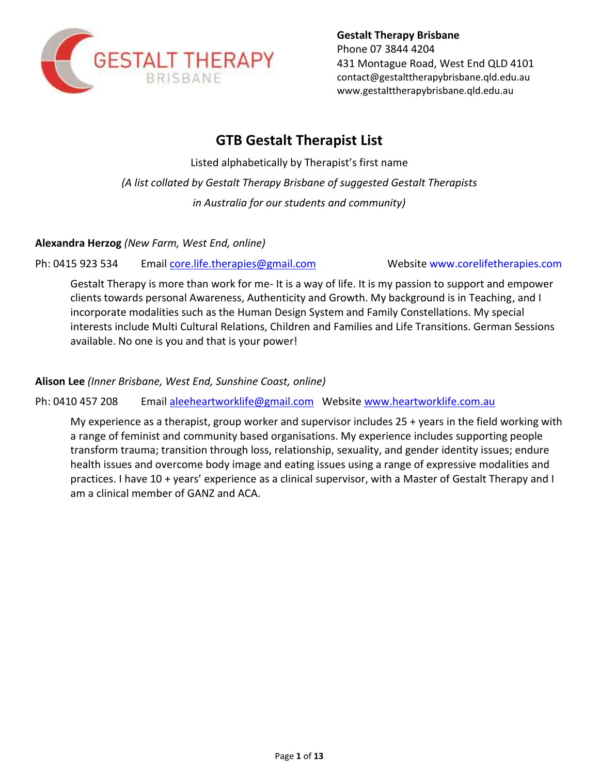

**Gestalt Therapy Brisbane** Phone 07 3844 4204 431 Montague Road, West End QLD 4101 [contact@gestalttherapybrisbane.qld.edu.au](mailto:contact@gestalttherapybrisbane.qld.edu.au) [www.gestalttherapybrisbane.qld.edu.au](http://www.gestalttherapybrisbane.qld.edu.au/)

# **GTB Gestalt Therapist List**

Listed alphabetically by Therapist's first name *(A list collated by Gestalt Therapy Brisbane of suggested Gestalt Therapists in Australia for our students and community)*

**Alexandra Herzog** *(New Farm, West End, online)* 

Ph: 0415 923 534 Email [core.life.therapies@gmail.com](mailto:core.life.therapies@gmail.com) Website www.corelifetherapies.com

Gestalt Therapy is more than work for me- It is a way of life. It is my passion to support and empower clients towards personal Awareness, Authenticity and Growth. My background is in Teaching, and I incorporate modalities such as the Human Design System and Family Constellations. My special interests include Multi Cultural Relations, Children and Families and Life Transitions. German Sessions available. No one is you and that is your power!

**Alison Lee** *(Inner Brisbane, West End, Sunshine Coast, online)* 

#### Ph: 0410 457 208 Email [aleeheartworklife@gmail.com](mailto:aleeheartworklife@gmail.com) Website [www.heartworklife.com.au](http://www.heartworklife.com.au/)

My experience as a therapist, group worker and supervisor includes 25 + years in the field working with a range of feminist and community based organisations. My experience includes supporting people transform trauma; transition through loss, relationship, sexuality, and gender identity issues; endure health issues and overcome body image and eating issues using a range of expressive modalities and practices. I have 10 + years' experience as a clinical supervisor, with a Master of Gestalt Therapy and I am a clinical member of GANZ and ACA.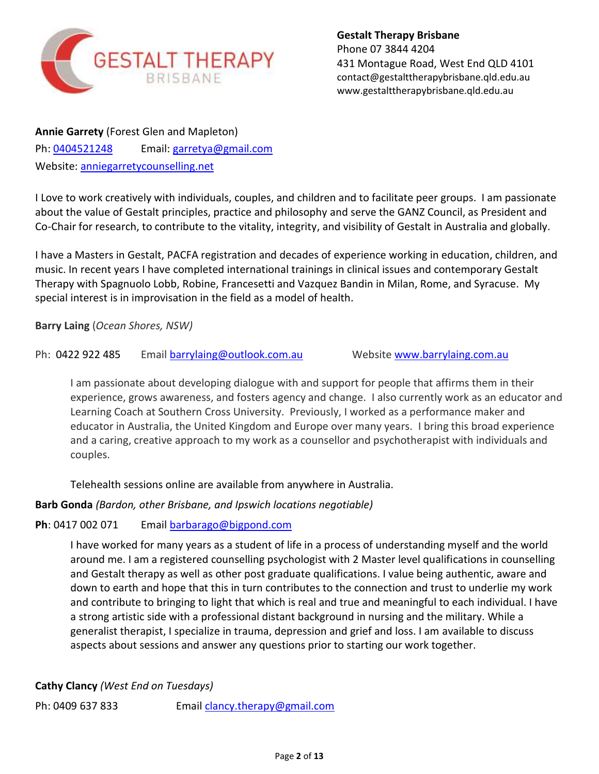

**Annie Garrety** (Forest Glen and Mapleton) Ph: [0404521248](tel:0404521248) Email: [garretya@gmail.com](mailto:garretya@gmail.com) Website: [anniegarretycounselling.net](http://anniegarretycounselling.net/)

I Love to work creatively with individuals, couples, and children and to facilitate peer groups. I am passionate about the value of Gestalt principles, practice and philosophy and serve the GANZ Council, as President and Co-Chair for research, to contribute to the vitality, integrity, and visibility of Gestalt in Australia and globally.

I have a Masters in Gestalt, PACFA registration and decades of experience working in education, children, and music. In recent years I have completed international trainings in clinical issues and contemporary Gestalt Therapy with Spagnuolo Lobb, Robine, Francesetti and Vazquez Bandin in Milan, Rome, and Syracuse. My special interest is in improvisation in the field as a model of health.

**Barry Laing** (*Ocean Shores, NSW)*

# Ph: 0422 922 485 Email [barrylaing@outlook.com.au](mailto:barrylaing@outlook.com.au) Website [www.barrylaing.com.au](http://www.barrylaing.com.au/)

I am passionate about developing dialogue with and support for people that affirms them in their experience, grows awareness, and fosters agency and change. I also currently work as an educator and Learning Coach at Southern Cross University. Previously, I worked as a performance maker and educator in Australia, the United Kingdom and Europe over many years. I bring this broad experience and a caring, creative approach to my work as a counsellor and psychotherapist with individuals and couples.

Telehealth sessions online are available from anywhere in Australia.

# **Barb Gonda** *(Bardon, other Brisbane, and Ipswich locations negotiable)*

# **Ph**: 0417 002 071 Email [barbarago@bigpond.com](mailto:barbarago@bigpond.com)

I have worked for many years as a student of life in a process of understanding myself and the world around me. I am a registered counselling psychologist with 2 Master level qualifications in counselling and Gestalt therapy as well as other post graduate qualifications. I value being authentic, aware and down to earth and hope that this in turn contributes to the connection and trust to underlie my work and contribute to bringing to light that which is real and true and meaningful to each individual. I have a strong artistic side with a professional distant background in nursing and the military. While a generalist therapist, I specialize in trauma, depression and grief and loss. I am available to discuss aspects about sessions and answer any questions prior to starting our work together.

**Cathy Clancy** *(West End on Tuesdays)*

Ph: 0409 637 833 Email [clancy.therapy@gmail.com](mailto:clancy.therapy@gmail.com)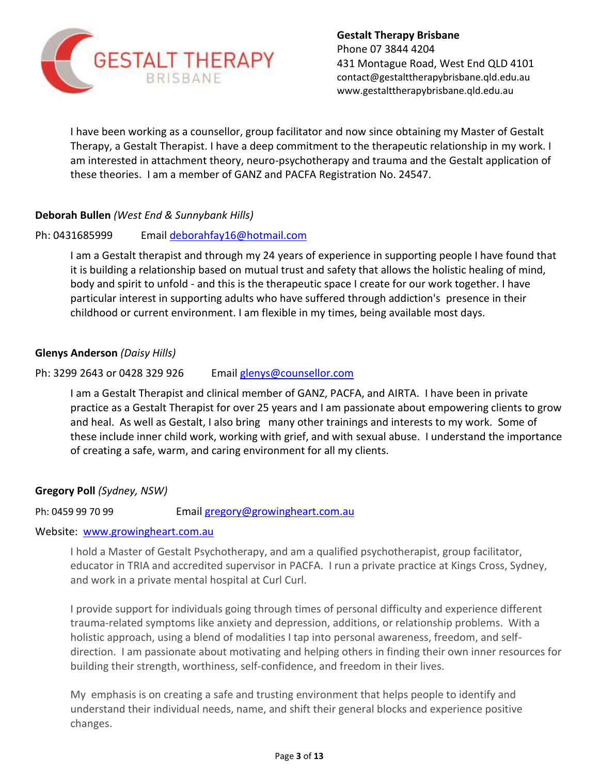

I have been working as a counsellor, group facilitator and now since obtaining my Master of Gestalt Therapy, a Gestalt Therapist. I have a deep commitment to the therapeutic relationship in my work. I am interested in attachment theory, neuro-psychotherapy and trauma and the Gestalt application of these theories. I am a member of GANZ and PACFA Registration No. 24547.

## **Deborah Bullen** *(West End & Sunnybank Hills)*

#### Ph: 0431685999 Email [deborahfay16@hotmail.com](mailto:deborahfay16@hotmail.com)

I am a Gestalt therapist and through my 24 years of experience in supporting people I have found that it is building a relationship based on mutual trust and safety that allows the holistic healing of mind, body and spirit to unfold - and this is the therapeutic space I create for our work together. I have particular interest in supporting adults who have suffered through addiction's presence in their childhood or current environment. I am flexible in my times, being available most days.

#### **Glenys Anderson** *(Daisy Hills)*

#### Ph: 3299 2643 or 0428 329 926 Email [glenys@counsellor.com](mailto:glenys@counsellor.com)

I am a Gestalt Therapist and clinical member of GANZ, PACFA, and AIRTA. I have been in private practice as a Gestalt Therapist for over 25 years and I am passionate about empowering clients to grow and heal. As well as Gestalt, I also bring many other trainings and interests to my work. Some of these include inner child work, working with grief, and with sexual abuse. I understand the importance of creating a safe, warm, and caring environment for all my clients.

#### **Gregory Poll** *(Sydney, NSW)*

Ph: 0459 99 70 99 Email [gregory@growingheart.com.au](mailto:gregory@growingheart.com.au)

#### Website: [www.growingheart.com.au](http://www.growingheart.com.au/)

I hold a Master of Gestalt Psychotherapy, and am a qualified psychotherapist, group facilitator, educator in TRIA and accredited supervisor in PACFA. I run a private practice at Kings Cross, Sydney, and work in a private mental hospital at Curl Curl.

I provide support for individuals going through times of personal difficulty and experience different trauma-related symptoms like anxiety and depression, additions, or relationship problems. With a holistic approach, using a blend of modalities I tap into personal awareness, freedom, and selfdirection. I am passionate about motivating and helping others in finding their own inner resources for building their strength, worthiness, self-confidence, and freedom in their lives.

My emphasis is on creating a safe and trusting environment that helps people to identify and understand their individual needs, name, and shift their general blocks and experience positive changes.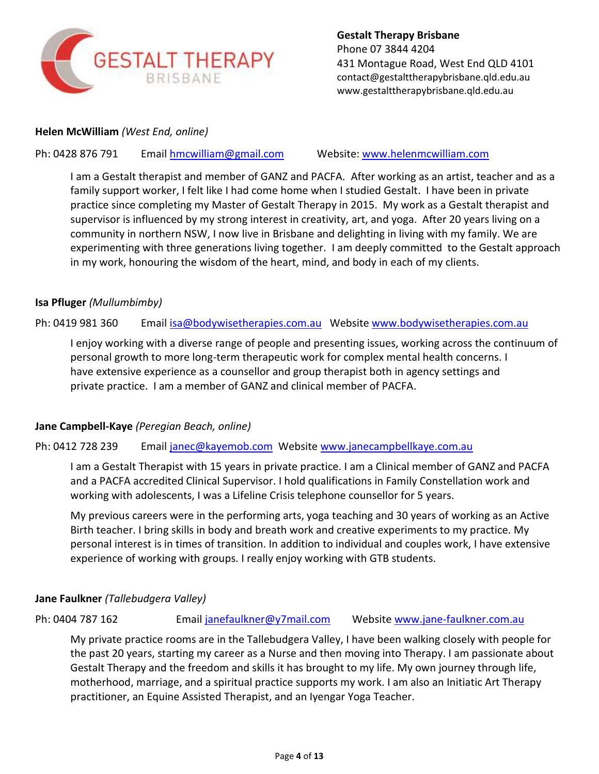

### **Helen McWilliam** *(West End, online)*

Ph: 0428 876 791 Email [hmcwilliam@gmail.com](mailto:hmcwilliam@gmail.com) Website: [www.helenmcwilliam.com](http://www.helenmcwilliam.com/)

I am a Gestalt therapist and member of GANZ and PACFA. After working as an artist, teacher and as a family support worker, I felt like I had come home when I studied Gestalt. I have been in private practice since completing my Master of Gestalt Therapy in 2015. My work as a Gestalt therapist and supervisor is influenced by my strong interest in creativity, art, and yoga. After 20 years living on a community in northern NSW, I now live in Brisbane and delighting in living with my family. We are experimenting with three generations living together. I am deeply committed to the Gestalt approach in my work, honouring the wisdom of the heart, mind, and body in each of my clients.

#### **Isa Pfluger** *(Mullumbimby)*

Ph: 0419 981 360 Email [isa@bodywisetherapies.com.au](mailto:isa@bodywisetherapies.com.au) Website [www.bodywisetherapies.com.au](http://www.bodywisetherapies.com.au/)

I enjoy working with a diverse range of people and presenting issues, working across the continuum of personal growth to more long-term therapeutic work for complex mental health concerns. I have extensive experience as a counsellor and group therapist both in agency settings and private practice. I am a member of GANZ and clinical member of PACFA.

#### **Jane Campbell-Kaye** *(Peregian Beach, online)*

Ph: 0412 728 239 Email [janec@kayemob.com](mailto:janec@kayemob.com) Website [www.janecampbellkaye.com.au](http://www.janecampbellkaye.com.au/)

I am a Gestalt Therapist with 15 years in private practice. I am a Clinical member of GANZ and PACFA and a PACFA accredited Clinical Supervisor. I hold qualifications in Family Constellation work and working with adolescents, I was a Lifeline Crisis telephone counsellor for 5 years.

My previous careers were in the performing arts, yoga teaching and 30 years of working as an Active Birth teacher. I bring skills in body and breath work and creative experiments to my practice. My personal interest is in times of transition. In addition to individual and couples work, I have extensive experience of working with groups. I really enjoy working with GTB students.

#### **Jane Faulkner** *(Tallebudgera Valley)*

Ph: 0404 787 162 **Email janefaulkner@y7mail.com** Website [www.jane-faulkner.com.au](http://www.jane-faulkner.com.au/)

My private practice rooms are in the Tallebudgera Valley, I have been walking closely with people for the past 20 years, starting my career as a Nurse and then moving into Therapy. I am passionate about Gestalt Therapy and the freedom and skills it has brought to my life. My own journey through life, motherhood, marriage, and a spiritual practice supports my work. I am also an Initiatic Art Therapy practitioner, an Equine Assisted Therapist, and an Iyengar Yoga Teacher.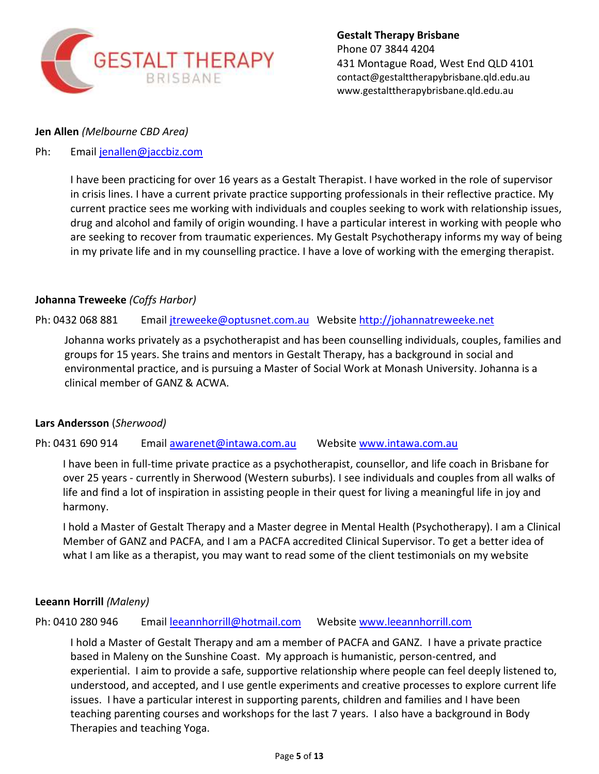

#### **Jen Allen** *(Melbourne CBD Area)*

## Ph: Email [jenallen@jaccbiz.com](mailto:jenallen@jaccbiz.com)

I have been practicing for over 16 years as a Gestalt Therapist. I have worked in the role of supervisor in crisis lines. I have a current private practice supporting professionals in their reflective practice. My current practice sees me working with individuals and couples seeking to work with relationship issues, drug and alcohol and family of origin wounding. I have a particular interest in working with people who are seeking to recover from traumatic experiences. My Gestalt Psychotherapy informs my way of being in my private life and in my counselling practice. I have a love of working with the emerging therapist.

#### **Johanna Treweeke** *(Coffs Harbor)*

#### Ph: 0432 068 881 Email [jtreweeke@optusnet.com.au](mailto:jtreweeke@optusnet.com.au) Website [http://johannatreweeke.net](http://johannatreweeke.net/)

Johanna works privately as a psychotherapist and has been counselling individuals, couples, families and groups for 15 years. She trains and mentors in Gestalt Therapy, has a background in social and environmental practice, and is pursuing a Master of Social Work at Monash University. Johanna is a clinical member of GANZ & ACWA.

#### **Lars Andersson** (*Sherwood)*

Ph: 0431 690 914 Email [awarenet@intawa.com.au](mailto:awarenet@intawa.com.au) Website [www.intawa.com.au](http://www.intawa.com.au/)

I have been in full-time private practice as a psychotherapist, counsellor, and life coach in Brisbane for over 25 years - currently in Sherwood (Western suburbs). I see individuals and couples from all walks of life and find a lot of inspiration in assisting people in their quest for living a meaningful life in joy and harmony.

I hold a Master of Gestalt Therapy and a Master degree in Mental Health (Psychotherapy). I am a Clinical Member of GANZ and PACFA, and I am a PACFA accredited Clinical Supervisor. To get a better idea of what I am like as a therapist, you may want to read some of the client testimonials on my website

#### **Leeann Horrill** *(Maleny)*

#### Ph: 0410 280 946 Email [leeannhorrill@hotmail.com](mailto:leeannhorrill@hotmail.com) Website [www.leeannhorrill.com](http://www.leeannhorrill.com/)

I hold a Master of Gestalt Therapy and am a member of PACFA and GANZ. I have a private practice based in Maleny on the Sunshine Coast. My approach is humanistic, person-centred, and experiential. I aim to provide a safe, supportive relationship where people can feel deeply listened to, understood, and accepted, and I use gentle experiments and creative processes to explore current life issues. I have a particular interest in supporting parents, children and families and I have been teaching parenting courses and workshops for the last 7 years. I also have a background in Body Therapies and teaching Yoga.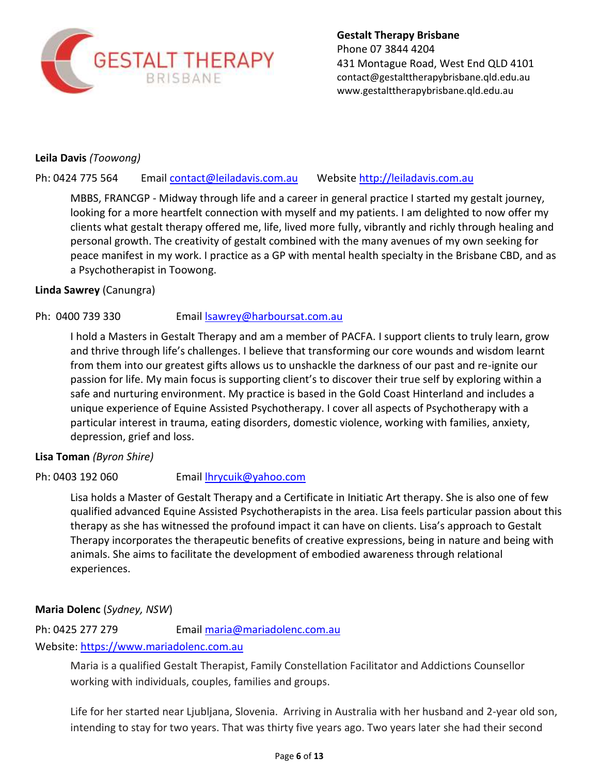

**Gestalt Therapy Brisbane** Phone 07 3844 4204 431 Montague Road, West End QLD 4101 [contact@gestalttherapybrisbane.qld.edu.au](mailto:contact@gestalttherapybrisbane.qld.edu.au) [www.gestalttherapybrisbane.qld.edu.au](http://www.gestalttherapybrisbane.qld.edu.au/)

## **Leila Davis** *(Toowong)*

Ph: 0424 775 564 Email [contact@leiladavis.com.au](mailto:contact@leiladavis.com.au) Website [http://leiladavis.com.au](http://leiladavis.com.au/)

MBBS, FRANCGP - Midway through life and a career in general practice I started my gestalt journey, looking for a more heartfelt connection with myself and my patients. I am delighted to now offer my clients what gestalt therapy offered me, life, lived more fully, vibrantly and richly through healing and personal growth. The creativity of gestalt combined with the many avenues of my own seeking for peace manifest in my work. I practice as a GP with mental health specialty in the Brisbane CBD, and as a Psychotherapist in Toowong.

#### **Linda Sawrey** (Canungra)

#### Ph: 0400 739 330 Email Sawrey@harboursat.com.au

I hold a Masters in Gestalt Therapy and am a member of PACFA. I support clients to truly learn, grow and thrive through life's challenges. I believe that transforming our core wounds and wisdom learnt from them into our greatest gifts allows us to unshackle the darkness of our past and re-ignite our passion for life. My main focus is supporting client's to discover their true self by exploring within a safe and nurturing environment. My practice is based in the Gold Coast Hinterland and includes a unique experience of Equine Assisted Psychotherapy. I cover all aspects of Psychotherapy with a particular interest in trauma, eating disorders, domestic violence, working with families, anxiety, depression, grief and loss.

#### **Lisa Toman** *(Byron Shire)*

#### Ph: 0403 192 060 Email [lhrycuik@yahoo.com](mailto:lhrycuik@yahoo.com)

Lisa holds a Master of Gestalt Therapy and a Certificate in Initiatic Art therapy. She is also one of few qualified advanced Equine Assisted Psychotherapists in the area. Lisa feels particular passion about this therapy as she has witnessed the profound impact it can have on clients. Lisa's approach to Gestalt Therapy incorporates the therapeutic benefits of creative expressions, being in nature and being with animals. She aims to facilitate the development of embodied awareness through relational experiences.

#### **Maria Dolenc** (*Sydney, NSW*)

Ph: 0425 277 279 Email [maria@mariadolenc.com.au](mailto:maria@mariadolenc.com.au)

## Website: [https://www.mariadolenc.com.au](https://www.mariadolenc.com.au/)

Maria is a qualified Gestalt Therapist, Family Constellation Facilitator and Addictions Counsellor working with individuals, couples, families and groups.

Life for her started near Ljubljana, Slovenia. Arriving in Australia with her husband and 2-year old son, intending to stay for two years. That was thirty five years ago. Two years later she had their second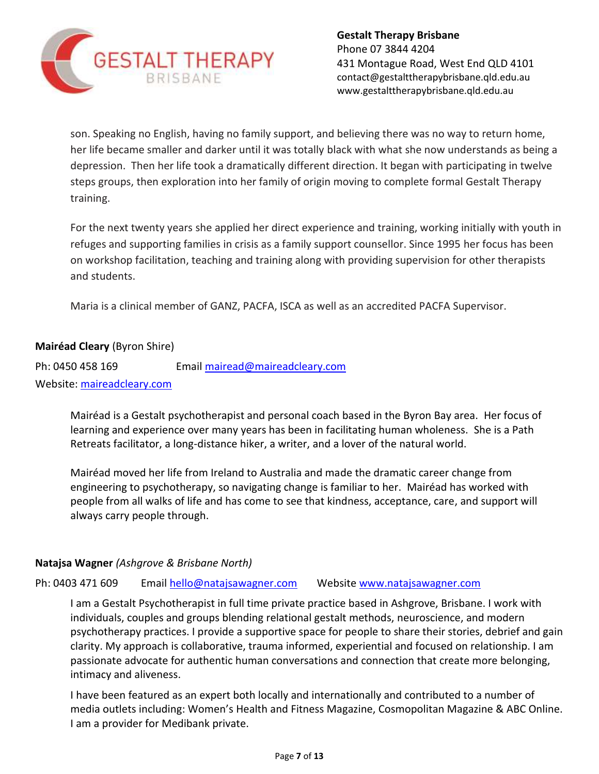

son. Speaking no English, having no family support, and believing there was no way to return home, her life became smaller and darker until it was totally black with what she now understands as being a depression. Then her life took a dramatically different direction. It began with participating in twelve steps groups, then exploration into her family of origin moving to complete formal Gestalt Therapy training.

For the next twenty years she applied her direct experience and training, working initially with youth in refuges and supporting families in crisis as a family support counsellor. Since 1995 her focus has been on workshop facilitation, teaching and training along with providing supervision for other therapists and students.

Maria is a clinical member of GANZ, PACFA, ISCA as well as an accredited PACFA Supervisor.

# **Mairéad Cleary** (Byron Shire)

Ph: 0450 458 169 Email [mairead@maireadcleary.com](mailto:mairead@maireadcleary.com) Website: [maireadcleary.com](http://maireadcleary.com/)

> Mairéad is a Gestalt psychotherapist and personal coach based in the Byron Bay area. Her focus of learning and experience over many years has been in facilitating human wholeness. She is a Path Retreats facilitator, a long-distance hiker, a writer, and a lover of the natural world.

> Mairéad moved her life from Ireland to Australia and made the dramatic career change from engineering to psychotherapy, so navigating change is familiar to her. Mairéad has worked with people from all walks of life and has come to see that kindness, acceptance, care, and support will always carry people through.

#### **Natajsa Wagner** *(Ashgrove & Brisbane North)*

Ph: 0403 471 609 Email [hello@natajsawagner.com](mailto:hello@natajsawagner.com) Website [www.natajsawagner.com](http://www.natajsawagner.com/)

I am a Gestalt Psychotherapist in full time private practice based in Ashgrove, Brisbane. I work with individuals, couples and groups blending relational gestalt methods, neuroscience, and modern psychotherapy practices. I provide a supportive space for people to share their stories, debrief and gain clarity. My approach is collaborative, trauma informed, experiential and focused on relationship. I am passionate advocate for authentic human conversations and connection that create more belonging, intimacy and aliveness.

I have been featured as an expert both locally and internationally and contributed to a number of media outlets including: Women's Health and Fitness Magazine, Cosmopolitan Magazine & ABC Online. I am a provider for Medibank private.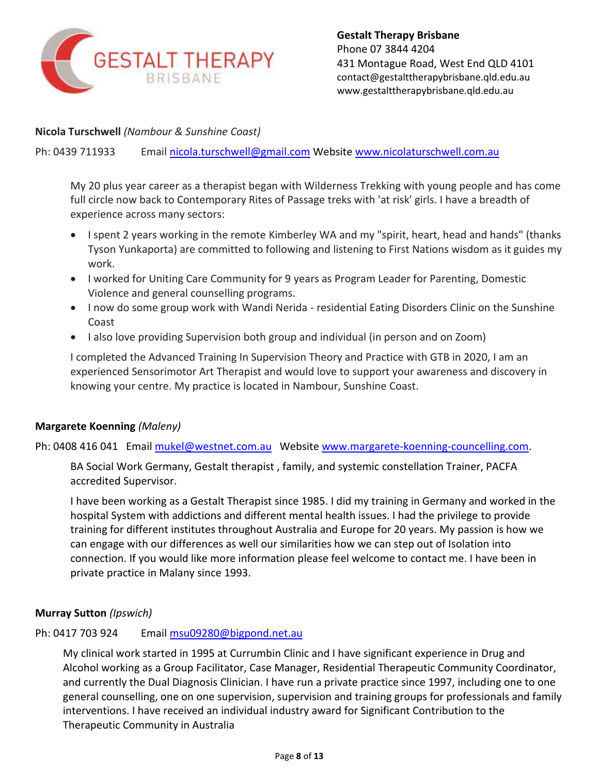

**Nicola Turschwell** *(Nambour & Sunshine Coast)*

Ph: 0439 711933 Email [nicola.turschwell@gmail.com](mailto:nicola.turschwell@gmail.com) Website [www.nicolaturschwell.com.au](http://www.nicolaturschwell.com.au/)

My 20 plus year career as a therapist began with Wilderness Trekking with young people and has come full circle now back to Contemporary Rites of Passage treks with 'at risk' girls. I have a breadth of experience across many sectors:

- I spent 2 years working in the remote Kimberley WA and my "spirit, heart, head and hands" (thanks Tyson Yunkaporta) are committed to following and listening to First Nations wisdom as it guides my work.
- I worked for Uniting Care Community for 9 years as Program Leader for Parenting, Domestic Violence and general counselling programs.
- I now do some group work with Wandi Nerida residential Eating Disorders Clinic on the Sunshine Coast
- I also love providing Supervision both group and individual (in person and on Zoom)

I completed the Advanced Training In Supervision Theory and Practice with GTB in 2020, I am an experienced Sensorimotor Art Therapist and would love to support your awareness and discovery in knowing your centre. My practice is located in Nambour, Sunshine Coast.

#### **Margarete Koenning** *(Maleny)*

Ph: 0408 416 041 Email [mukel@westnet.com.au](mailto:mukel@westnet.com.au) Website [www.margarete-koenning-councelling.com.](http://www.margarete-koenning-councelling.com/)

BA Social Work Germany, Gestalt therapist , family, and systemic constellation Trainer, PACFA accredited Supervisor.

I have been working as a Gestalt Therapist since 1985. I did my training in Germany and worked in the hospital System with addictions and different mental health issues. I had the privilege to provide training for different institutes throughout Australia and Europe for 20 years. My passion is how we can engage with our differences as well our similarities how we can step out of Isolation into connection. If you would like more information please feel welcome to contact me. I have been in private practice in Malany since 1993.

#### **Murray Sutton** *(Ipswich)*

#### Ph: 0417 703 924 Email [msu09280@bigpond.net.au](mailto:msu09280@bigpond.net.au)

My clinical work started in 1995 at Currumbin Clinic and I have significant experience in Drug and Alcohol working as a Group Facilitator, Case Manager, Residential Therapeutic Community Coordinator, and currently the Dual Diagnosis Clinician. I have run a private practice since 1997, including one to one general counselling, one on one supervision, supervision and training groups for professionals and family interventions. I have received an individual industry award for Significant Contribution to the Therapeutic Community in Australia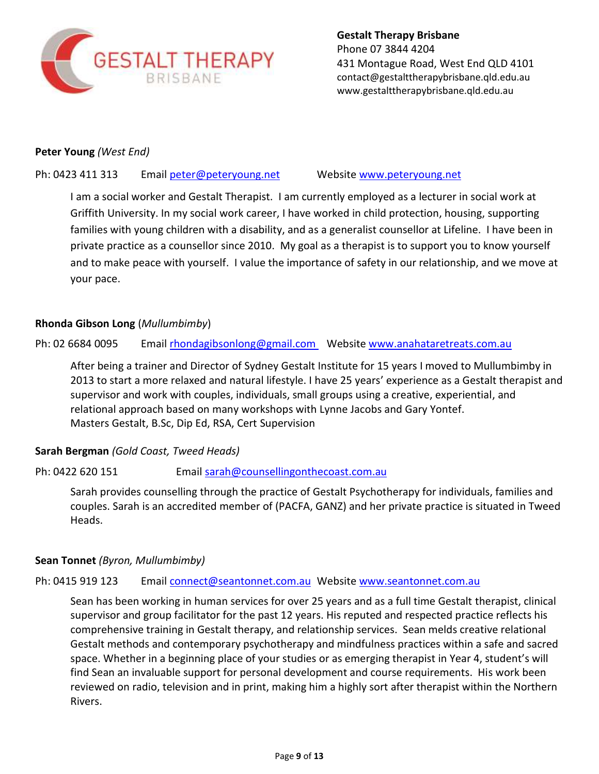

**Gestalt Therapy Brisbane** Phone 07 3844 4204 431 Montague Road, West End QLD 4101 [contact@gestalttherapybrisbane.qld.edu.au](mailto:contact@gestalttherapybrisbane.qld.edu.au) [www.gestalttherapybrisbane.qld.edu.au](http://www.gestalttherapybrisbane.qld.edu.au/)

#### **Peter Young** *(West End)*

#### Ph: 0423 411 313 Email [peter@peteryoung.net](mailto:peter@peteryoung.net) Website [www.peteryoung.net](http://www.peteryoung.net/)

I am a social worker and Gestalt Therapist. I am currently employed as a lecturer in social work at Griffith University. In my social work career, I have worked in child protection, housing, supporting families with young children with a disability, and as a generalist counsellor at Lifeline. I have been in private practice as a counsellor since 2010. My goal as a therapist is to support you to know yourself and to make peace with yourself. I value the importance of safety in our relationship, and we move at your pace.

#### **Rhonda Gibson Long** (*Mullumbimby*)

Ph: 02 6684 0095 Email [rhondagibsonlong@gmail.com](mailto:rhondagibsonlong@gmail.com) Website [www.anahataretreats.com.au](http://www.anahataretreats.com.au/)

After being a trainer and Director of Sydney Gestalt Institute for 15 years I moved to Mullumbimby in 2013 to start a more relaxed and natural lifestyle. I have 25 years' experience as a Gestalt therapist and supervisor and work with couples, individuals, small groups using a creative, experiential, and relational approach based on many workshops with Lynne Jacobs and Gary Yontef. Masters Gestalt, B.Sc, Dip Ed, RSA, Cert Supervision

#### **Sarah Bergman** *(Gold Coast, Tweed Heads)*

Ph: 0422 620 151 Email [sarah@counsellingonthecoast.com.au](mailto:sarah@counsellingonthecoast.com.au)

Sarah provides counselling through the practice of Gestalt Psychotherapy for individuals, families and couples. Sarah is an accredited member of (PACFA, GANZ) and her private practice is situated in Tweed Heads.

#### **Sean Tonnet** *(Byron, Mullumbimby)*

#### Ph: 0415 919 123 Email [connect@seantonnet.com.au](mailto:connect@seantonnet.com.au) Website [www.seantonnet.com.au](http://www.seantonnet.com.au/)

Sean has been working in human services for over 25 years and as a full time Gestalt therapist, clinical supervisor and group facilitator for the past 12 years. His reputed and respected practice reflects his comprehensive training in Gestalt therapy, and relationship services. Sean melds creative relational Gestalt methods and contemporary psychotherapy and mindfulness practices within a safe and sacred space. Whether in a beginning place of your studies or as emerging therapist in Year 4, student's will find Sean an invaluable support for personal development and course requirements. His work been reviewed on radio, television and in print, making him a highly sort after therapist within the Northern Rivers.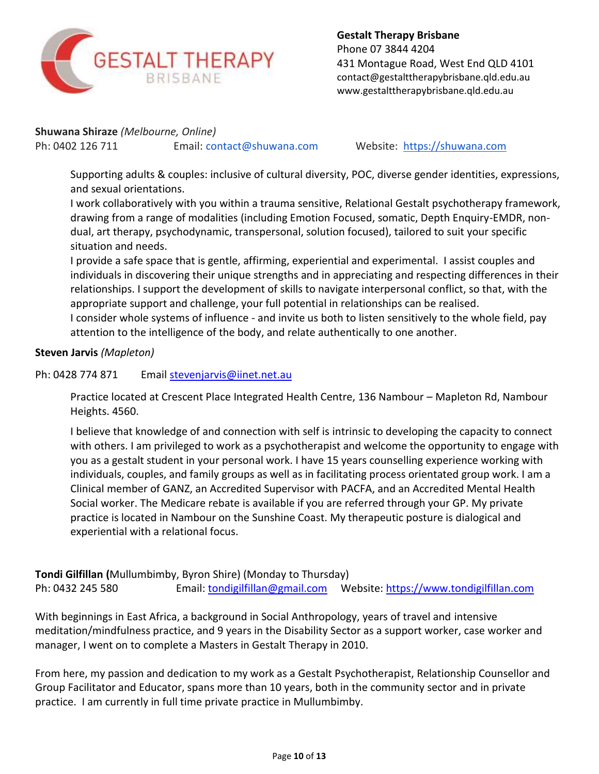

**Shuwana Shiraze** *(Melbourne, Online)*

Ph: 0402 126 711 Email: [contact@shuwana.com](mailto:contact@shuwana.com) Website: [https://shuwana.com](https://shuwana.com/)

Supporting adults & couples: inclusive of cultural diversity, POC, diverse gender identities, expressions, and sexual orientations.

I work collaboratively with you within a trauma sensitive, Relational Gestalt psychotherapy framework, drawing from a range of modalities (including Emotion Focused, somatic, Depth Enquiry-EMDR, nondual, art therapy, psychodynamic, transpersonal, solution focused), tailored to suit your specific situation and needs.

I provide a safe space that is gentle, affirming, experiential and experimental. I assist couples and individuals in discovering their unique strengths and in appreciating and respecting differences in their relationships. I support the development of skills to navigate interpersonal conflict, so that, with the appropriate support and challenge, your full potential in relationships can be realised. I consider whole systems of influence - and invite us both to listen sensitively to the whole field, pay attention to the intelligence of the body, and relate authentically to one another.

# **Steven Jarvis** *(Mapleton)*

# Ph: 0428 774 871 Email [stevenjarvis@iinet.net.au](mailto:stevenjarvis@iinet.net.au)

Practice located at Crescent Place Integrated Health Centre, 136 Nambour – Mapleton Rd, Nambour Heights. 4560.

I believe that knowledge of and connection with self is intrinsic to developing the capacity to connect with others. I am privileged to work as a psychotherapist and welcome the opportunity to engage with you as a gestalt student in your personal work. I have 15 years counselling experience working with individuals, couples, and family groups as well as in facilitating process orientated group work. I am a Clinical member of GANZ, an Accredited Supervisor with PACFA, and an Accredited Mental Health Social worker. The Medicare rebate is available if you are referred through your GP. My private practice is located in Nambour on the Sunshine Coast. My therapeutic posture is dialogical and experiential with a relational focus.

**Tondi Gilfillan (**Mullumbimby, Byron Shire) (Monday to Thursday) Ph: 0432 245 580 Email: [tondigilfillan@gmail.com](mailto:tondigilfillan@gmail.comW) Website: [https://www.tondigilfillan.com](https://www.tondigilfillan.com/)

With beginnings in East Africa, a background in Social Anthropology, years of travel and intensive meditation/mindfulness practice, and 9 years in the Disability Sector as a support worker, case worker and manager, I went on to complete a Masters in Gestalt Therapy in 2010.

From here, my passion and dedication to my work as a Gestalt Psychotherapist, Relationship Counsellor and Group Facilitator and Educator, spans more than 10 years, both in the community sector and in private practice. I am currently in full time private practice in Mullumbimby.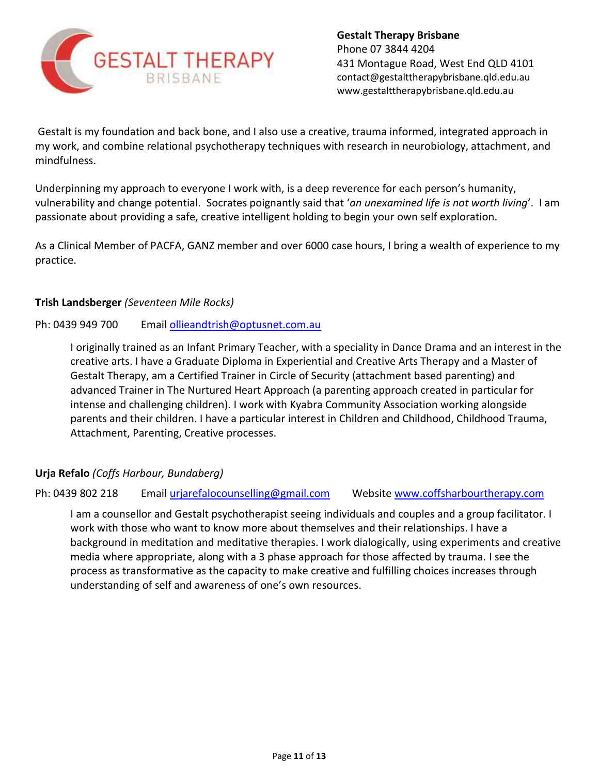

Gestalt is my foundation and back bone, and I also use a creative, trauma informed, integrated approach in my work, and combine relational psychotherapy techniques with research in neurobiology, attachment, and mindfulness.

Underpinning my approach to everyone I work with, is a deep reverence for each person's humanity, vulnerability and change potential. Socrates poignantly said that '*an unexamined life is not worth living*'. I am passionate about providing a safe, creative intelligent holding to begin your own self exploration.

As a Clinical Member of PACFA, GANZ member and over 6000 case hours, I bring a wealth of experience to my practice.

## **Trish Landsberger** *(Seventeen Mile Rocks)*

## Ph: 0439 949 700 Email [ollieandtrish@optusnet.com.au](mailto:ollieandtrish@optusnet.com.au)

I originally trained as an Infant Primary Teacher, with a speciality in Dance Drama and an interest in the creative arts. I have a Graduate Diploma in Experiential and Creative Arts Therapy and a Master of Gestalt Therapy, am a Certified Trainer in Circle of Security (attachment based parenting) and advanced Trainer in The Nurtured Heart Approach (a parenting approach created in particular for intense and challenging children). I work with Kyabra Community Association working alongside parents and their children. I have a particular interest in Children and Childhood, Childhood Trauma, Attachment, Parenting, Creative processes.

# **Urja Refalo** *(Coffs Harbour, Bundaberg)*

#### Ph: 0439 802 218 Email [urjarefalocounselling@gmail.com](mailto:urjarefalocounselling@gmail.com) Website [www.coffsharbourtherapy.com](http://www.coffsharbourtherapy.com/)

I am a counsellor and Gestalt psychotherapist seeing individuals and couples and a group facilitator. I work with those who want to know more about themselves and their relationships. I have a background in meditation and meditative therapies. I work dialogically, using experiments and creative media where appropriate, along with a 3 phase approach for those affected by trauma. I see the process as transformative as the capacity to make creative and fulfilling choices increases through understanding of self and awareness of one's own resources.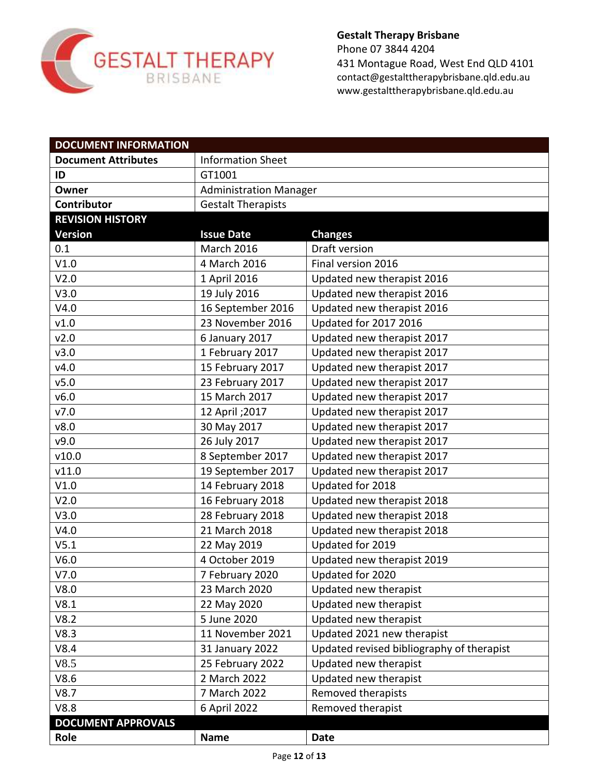

431 Montague Road, West End QLD 4101 [contact@gestalttherapybrisbane.qld.edu.au](mailto:contact@gestalttherapybrisbane.qld.edu.au) [www.gestalttherapybrisbane.qld.edu.au](http://www.gestalttherapybrisbane.qld.edu.au/)

| <b>DOCUMENT INFORMATION</b> |                               |                                           |
|-----------------------------|-------------------------------|-------------------------------------------|
| <b>Document Attributes</b>  | <b>Information Sheet</b>      |                                           |
| ID                          | GT1001                        |                                           |
| Owner                       | <b>Administration Manager</b> |                                           |
| Contributor                 | <b>Gestalt Therapists</b>     |                                           |
| <b>REVISION HISTORY</b>     |                               |                                           |
| <b>Version</b>              | <b>Issue Date</b>             | <b>Changes</b>                            |
| 0.1                         | <b>March 2016</b>             | Draft version                             |
| V1.0                        | 4 March 2016                  | Final version 2016                        |
| V2.0                        | 1 April 2016                  | Updated new therapist 2016                |
| V3.0                        | 19 July 2016                  | Updated new therapist 2016                |
| V4.0                        | 16 September 2016             | Updated new therapist 2016                |
| v1.0                        | 23 November 2016              | <b>Updated for 2017 2016</b>              |
| v2.0                        | 6 January 2017                | Updated new therapist 2017                |
| v3.0                        | 1 February 2017               | Updated new therapist 2017                |
| v4.0                        | 15 February 2017              | Updated new therapist 2017                |
| v5.0                        | 23 February 2017              | Updated new therapist 2017                |
| v6.0                        | 15 March 2017                 | Updated new therapist 2017                |
| v7.0                        | 12 April ; 2017               | Updated new therapist 2017                |
| v8.0                        | 30 May 2017                   | Updated new therapist 2017                |
| v9.0                        | 26 July 2017                  | Updated new therapist 2017                |
| v10.0                       | 8 September 2017              | Updated new therapist 2017                |
| v11.0                       | 19 September 2017             | Updated new therapist 2017                |
| V1.0                        | 14 February 2018              | Updated for 2018                          |
| V2.0                        | 16 February 2018              | Updated new therapist 2018                |
| V3.0                        | 28 February 2018              | Updated new therapist 2018                |
| V4.0                        | 21 March 2018                 | Updated new therapist 2018                |
| V5.1                        | 22 May 2019                   | Updated for 2019                          |
| V6.0                        | 4 October 2019                | Updated new therapist 2019                |
| V7.0                        | 7 February 2020               | Updated for 2020                          |
| V8.0                        | 23 March 2020                 | Updated new therapist                     |
| V8.1                        | 22 May 2020                   | Updated new therapist                     |
| V8.2                        | 5 June 2020                   | Updated new therapist                     |
| V8.3                        | 11 November 2021              | Updated 2021 new therapist                |
| V8.4                        | 31 January 2022               | Updated revised bibliography of therapist |
| V8.5                        | 25 February 2022              | Updated new therapist                     |
| V8.6                        | 2 March 2022                  | Updated new therapist                     |
| V8.7                        | 7 March 2022                  | Removed therapists                        |
| V8.8                        | 6 April 2022                  | Removed therapist                         |
| <b>DOCUMENT APPROVALS</b>   |                               |                                           |
| Role                        | <b>Name</b>                   | Date                                      |